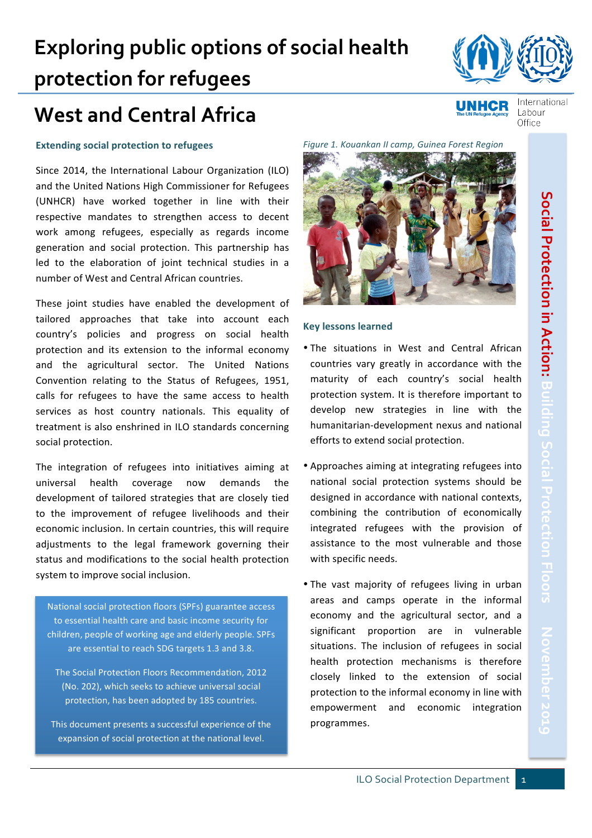**UNHCR** 

# **West and Central Africa**

**protection for refugees**

### **Extending social protection to refugees**

Since 2014, the International Labour Organization (ILO) and the United Nations High Commissioner for Refugees (UNHCR) have worked together in line with their respective mandates to strengthen access to decent work among refugees, especially as regards income generation and social protection. This partnership has led to the elaboration of joint technical studies in a number of West and Central African countries.

These joint studies have enabled the development of tailored approaches that take into account each country's policies and progress on social health protection and its extension to the informal economy and the agricultural sector. The United Nations Convention relating to the Status of Refugees, 1951, calls for refugees to have the same access to health services as host country nationals. This equality of treatment is also enshrined in ILO standards concerning social protection.

The integration of refugees into initiatives aiming at universal health coverage now demands the development of tailored strategies that are closely tied to the improvement of refugee livelihoods and their economic inclusion. In certain countries, this will require adjustments to the legal framework governing their status and modifications to the social health protection system to improve social inclusion.

National social protection floors (SPFs) guarantee access to essential health care and basic income security for children, people of working age and elderly people. SPFs are essential to reach SDG targets 1.3 and 3.8.

The Social Protection Floors Recommendation, 2012 (No. 202), which seeks to achieve universal social protection, has been adopted by 185 countries.

This document presents a successful experience of the expansion of social protection at the national level.

*Figure 1. Kouankan II camp, Guinea Forest Region*



• The situations in West and Central African countries vary greatly in accordance with the maturity of each country's social health

**Key lessons learned**

- national social protection systems should be designed in accordance with national contexts, combining the contribution of economically integrated refugees with the provision of assistance to the most vulnerable and those with specific needs.
- The vast majority of refugees living in urban areas and camps operate in the informal economy and the agricultural sector, and a significant proportion are in vulnerable situations. The inclusion of refugees in social health protection mechanisms is therefore closely linked to the extension of social protection to the informal economy in line with empowerment and economic integration programmes.





International

Labour Office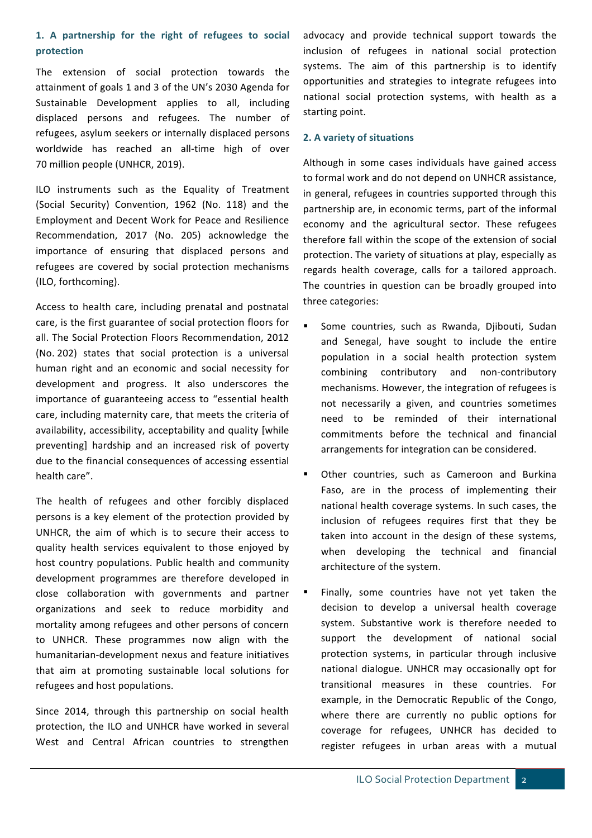## 1. A partnership for the right of refugees to social **protection**

The extension of social protection towards the attainment of goals 1 and 3 of the UN's 2030 Agenda for Sustainable Development applies to all, including displaced persons and refugees. The number of refugees, asylum seekers or internally displaced persons worldwide has reached an all-time high of over 70 million people (UNHCR, 2019).

ILO instruments such as the Equality of Treatment (Social Security) Convention, 1962 (No. 118) and the Employment and Decent Work for Peace and Resilience Recommendation, 2017 (No. 205) acknowledge the importance of ensuring that displaced persons and refugees are covered by social protection mechanisms (ILO, forthcoming). 

Access to health care, including prenatal and postnatal care, is the first guarantee of social protection floors for all. The Social Protection Floors Recommendation, 2012 (No. 202) states that social protection is a universal human right and an economic and social necessity for development and progress. It also underscores the importance of guaranteeing access to "essential health care, including maternity care, that meets the criteria of availability, accessibility, acceptability and quality [while preventing] hardship and an increased risk of poverty due to the financial consequences of accessing essential health care".

The health of refugees and other forcibly displaced persons is a key element of the protection provided by UNHCR, the aim of which is to secure their access to quality health services equivalent to those enjoyed by host country populations. Public health and community development programmes are therefore developed in close collaboration with governments and partner organizations and seek to reduce morbidity and mortality among refugees and other persons of concern to UNHCR. These programmes now align with the humanitarian-development nexus and feature initiatives that aim at promoting sustainable local solutions for refugees and host populations.

Since 2014, through this partnership on social health protection, the ILO and UNHCR have worked in several West and Central African countries to strengthen

advocacy and provide technical support towards the inclusion of refugees in national social protection systems. The aim of this partnership is to identify opportunities and strategies to integrate refugees into national social protection systems, with health as a starting point.

### **2. A variety of situations**

Although in some cases individuals have gained access to formal work and do not depend on UNHCR assistance, in general, refugees in countries supported through this partnership are, in economic terms, part of the informal economy and the agricultural sector. These refugees therefore fall within the scope of the extension of social protection. The variety of situations at play, especially as regards health coverage, calls for a tailored approach. The countries in question can be broadly grouped into three categories:

- Some countries, such as Rwanda, Djibouti, Sudan and Senegal, have sought to include the entire population in a social health protection system combining contributory and non-contributory mechanisms. However, the integration of refugees is not necessarily a given, and countries sometimes need to be reminded of their international commitments before the technical and financial arrangements for integration can be considered.
- Other countries, such as Cameroon and Burkina Faso, are in the process of implementing their national health coverage systems. In such cases, the inclusion of refugees requires first that they be taken into account in the design of these systems, when developing the technical and financial architecture of the system.
- Finally, some countries have not yet taken the decision to develop a universal health coverage system. Substantive work is therefore needed to support the development of national social protection systems, in particular through inclusive national dialogue. UNHCR may occasionally opt for transitional measures in these countries. For example, in the Democratic Republic of the Congo, where there are currently no public options for coverage for refugees, UNHCR has decided to register refugees in urban areas with a mutual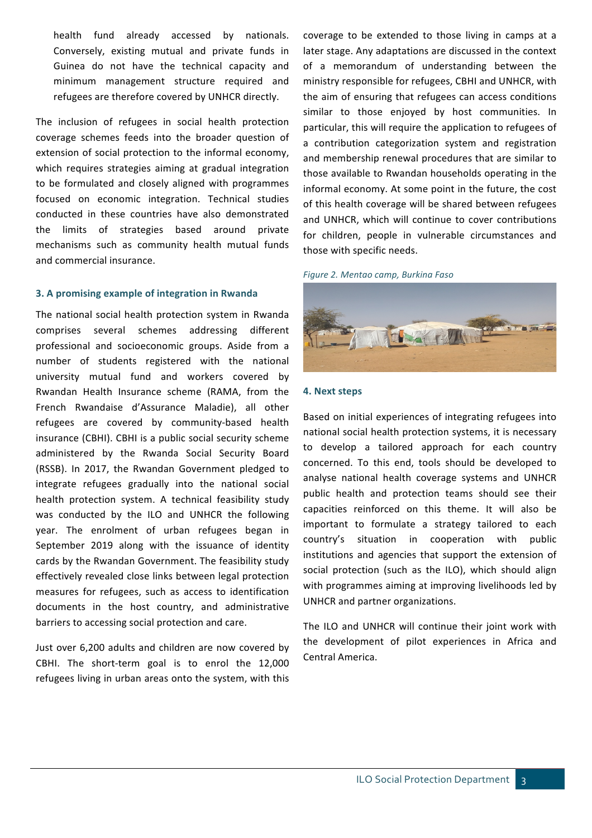health fund already accessed by nationals. Conversely, existing mutual and private funds in Guinea do not have the technical capacity and minimum management structure required and refugees are therefore covered by UNHCR directly.

The inclusion of refugees in social health protection coverage schemes feeds into the broader question of extension of social protection to the informal economy, which requires strategies aiming at gradual integration to be formulated and closely aligned with programmes focused on economic integration. Technical studies conducted in these countries have also demonstrated the limits of strategies based around private mechanisms such as community health mutual funds and commercial insurance.

### **3.** A promising example of integration in Rwanda

The national social health protection system in Rwanda comprises several schemes addressing different professional and socioeconomic groups. Aside from a number of students registered with the national university mutual fund and workers covered by Rwandan Health Insurance scheme (RAMA, from the French Rwandaise d'Assurance Maladie), all other refugees are covered by community-based health insurance (CBHI). CBHI is a public social security scheme administered by the Rwanda Social Security Board (RSSB). In 2017, the Rwandan Government pledged to integrate refugees gradually into the national social health protection system. A technical feasibility study was conducted by the ILO and UNHCR the following year. The enrolment of urban refugees began in September 2019 along with the issuance of identity cards by the Rwandan Government. The feasibility study effectively revealed close links between legal protection measures for refugees, such as access to identification documents in the host country, and administrative barriers to accessing social protection and care.

Just over 6,200 adults and children are now covered by CBHI. The short-term goal is to enrol the 12,000 refugees living in urban areas onto the system, with this

coverage to be extended to those living in camps at a later stage. Any adaptations are discussed in the context of a memorandum of understanding between the ministry responsible for refugees, CBHI and UNHCR, with the aim of ensuring that refugees can access conditions similar to those enjoyed by host communities. In particular, this will require the application to refugees of a contribution categorization system and registration and membership renewal procedures that are similar to those available to Rwandan households operating in the informal economy. At some point in the future, the cost of this health coverage will be shared between refugees and UNHCR, which will continue to cover contributions for children, people in vulnerable circumstances and those with specific needs.

#### *Figure 2. Mentao camp, Burkina Faso*



#### **4. Next steps**

Based on initial experiences of integrating refugees into national social health protection systems, it is necessary to develop a tailored approach for each country concerned. To this end, tools should be developed to analyse national health coverage systems and UNHCR public health and protection teams should see their capacities reinforced on this theme. It will also be important to formulate a strategy tailored to each country's situation in cooperation with public institutions and agencies that support the extension of social protection (such as the ILO), which should align with programmes aiming at improving livelihoods led by UNHCR and partner organizations.

The ILO and UNHCR will continue their joint work with the development of pilot experiences in Africa and Central America. **Exercise Serverse Serverse Serverse Serverse Serverse Serverse Serverse Serverse Serverse Serverse Serverse Serverse Serverse Serverse Serverse Serverse Serverse Serverse Serverse Serverse Serverse Server**